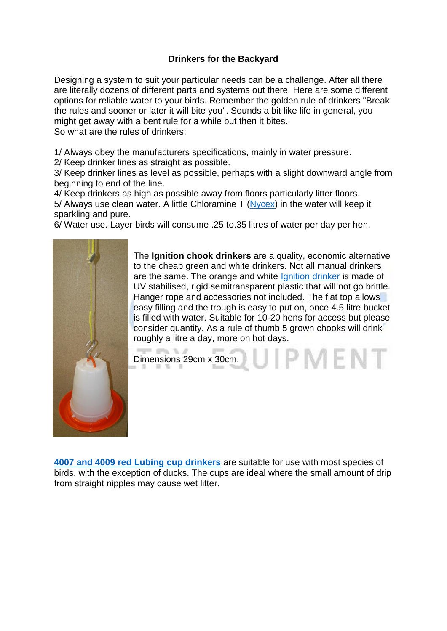## **Drinkers for the Backyard**

Designing a system to suit your particular needs can be a challenge. After all there are literally dozens of different parts and systems out there. Here are some different options for reliable water to your birds. Remember the golden rule of drinkers "Break the rules and sooner or later it will bite you". Sounds a bit like life in general, you might get away with a bent rule for a while but then it bites. So what are the rules of drinkers:

1/ Always obey the manufacturers specifications, mainly in water pressure.

2/ Keep drinker lines as straight as possible.

3/ Keep drinker lines as level as possible, perhaps with a slight downward angle from beginning to end of the line.

4/ Keep drinkers as high as possible away from floors particularly litter floors. 5/ Always use clean water. A little Chloramine T [\(Nycex\)](http://eshop.bellsouth.com.au/epages/bellsouth.sf/en_AU/?ObjectID=1198181) in the water will keep it sparkling and pure.

6/ Water use. Layer birds will consume .25 to.35 litres of water per day per hen.



The **Ignition chook drinkers** are a quality, economic alternative to the cheap green and white drinkers. Not all manual drinkers are the same. The orange and white *[Ignition](http://eshop.bellsouth.com.au/epages/bellsouth.sf/en_AU/?ObjectID=42381400) drinker is made of* UV stabilised, rigid semitransparent plastic that will not go brittle. Hanger rope and accessories not included. The flat top allows easy filling and the trough is easy to put on, once 4.5 litre bucket is filled with water. Suitable for 10-20 hens for access but please consider quantity. As a rule of thumb 5 grown chooks will drink roughly a litre a day, more on hot days. Form and N. A.

Dimensions 29cm x 30cm.

**[4007 and 4009 red Lubing cup drinkers](http://eshop.bellsouth.com.au/epages/bellsouth.sf/en_AU/?ObjectPath=/Shops/bellsouth/Categories/Equipment/%22Poultry%20Drinkers%22/%22Drinker%20Kits%22/DRUM_KITS)** are suitable for use with most species of birds, with the exception of ducks. The cups are ideal where the small amount of drip from straight nipples may cause wet litter.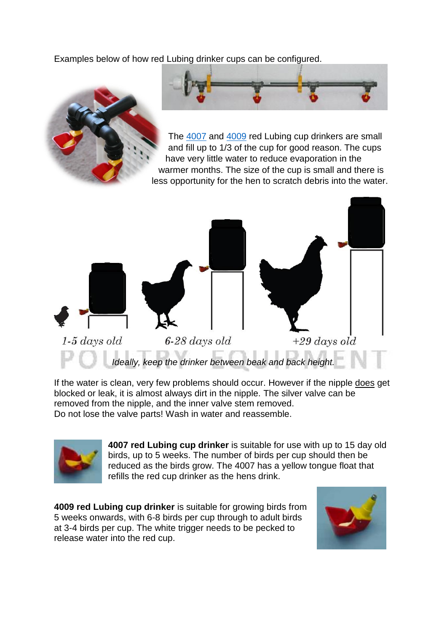Examples below of how red Lubing drinker cups can be configured.



 $1-5$  days old  $6-28$  days old  $+29 \ days$  old *Ideally, keep the drinker between beak and back height.*

If the water is clean, very few problems should occur. However if the nipple does get blocked or leak, it is almost always dirt in the nipple. The silver valve can be removed from the nipple, and the inner valve stem removed. Do not lose the valve parts! Wash in water and reassemble.



**4007 red Lubing cup drinker** is suitable for use with up to 15 day old birds, up to 5 weeks. The number of birds per cup should then be reduced as the birds grow. The 4007 has a yellow tongue float that refills the red cup drinker as the hens drink.

**4009 red Lubing cup drinker** is suitable for growing birds from 5 weeks onwards, with 6-8 birds per cup through to adult birds at 3-4 birds per cup. The white trigger needs to be pecked to release water into the red cup.

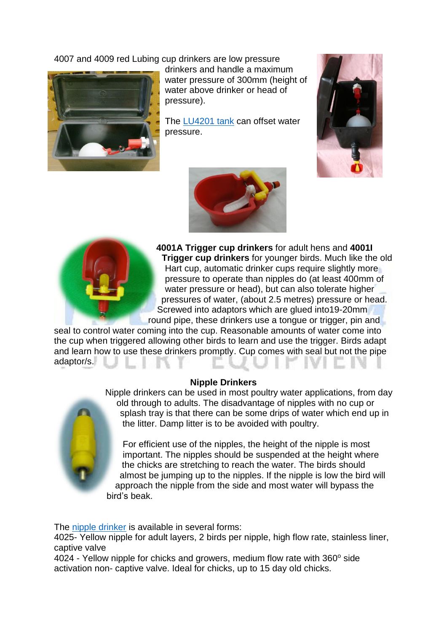4007 and 4009 red Lubing cup drinkers are low pressure



drinkers and handle a maximum water pressure of 300mm (height of water above drinker or head of pressure).

The [LU4201 tank](http://eshop.bellsouth.com.au/epages/bellsouth.sf/en_AU/?ObjectPath=/Shops/bellsouth/Categories/Equipment/%22Poultry%20Drinkers%22/%22Drinker%20Kits%22/FLOAT_TANK_KITS) can offset water pressure.







**4001A Trigger cup drinkers** for adult hens and **4001I Trigger cup drinkers** for younger birds. Much like the old Hart cup, automatic drinker cups require slightly more pressure to operate than nipples do (at least 400mm of water pressure or head), but can also tolerate higher pressures of water, (about 2.5 metres) pressure or head. Screwed into adaptors which are glued into19-20mm round pipe, these drinkers use a tongue or trigger, pin and

seal to control water coming into the cup. Reasonable amounts of water come into the cup when triggered allowing other birds to learn and use the trigger. Birds adapt and learn how to use these drinkers promptly. Cup comes with seal but not the pipe adaptor/s.

## **Nipple Drinkers**



For efficient use of the nipples, the height of the nipple is most important. The nipples should be suspended at the height where the chicks are stretching to reach the water. The birds should almost be jumping up to the nipples. If the nipple is low the bird will approach the nipple from the side and most water will bypass the bird's beak.

The [nipple drinker](http://eshop.bellsouth.com.au/epages/bellsouth.sf/en_AU/?ObjectPath=/Shops/bellsouth/Categories/Equipment/%22Poultry%20Drinkers%22/%22Drinker%20System%20parts%22) is available in several forms:

4025- Yellow nipple for adult layers, 2 birds per nipple, high flow rate, stainless liner, captive valve

4024 - Yellow nipple for chicks and growers, medium flow rate with 360° side activation non- captive valve. Ideal for chicks, up to 15 day old chicks.